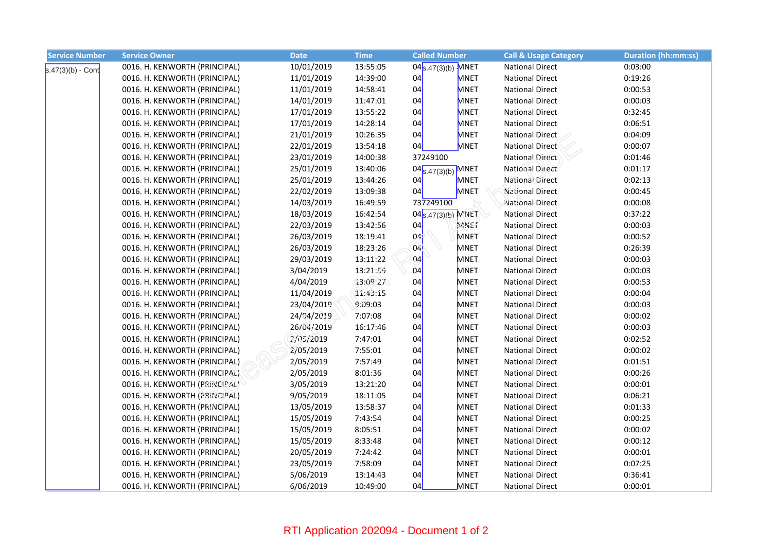| <b>Service Number</b> | <b>Service Owner</b>          | <b>Date</b> | <b>Time</b> | <b>Called Number</b>   | <b>Call &amp; Usage Category</b> | <b>Duration (hh:mm:ss)</b> |
|-----------------------|-------------------------------|-------------|-------------|------------------------|----------------------------------|----------------------------|
| $s.47(3)(b) - Cont$   | 0016. H. KENWORTH (PRINCIPAL) | 10/01/2019  | 13:55:05    | $04_{S.47(3)(b)}$ MNET | <b>National Direct</b>           | 0:03:00                    |
|                       | 0016. H. KENWORTH (PRINCIPAL) | 11/01/2019  | 14:39:00    | <b>MNET</b><br>04      | <b>National Direct</b>           | 0:19:26                    |
|                       | 0016. H. KENWORTH (PRINCIPAL) | 11/01/2019  | 14:58:41    | 04<br><b>MNET</b>      | <b>National Direct</b>           | 0:00:53                    |
|                       | 0016. H. KENWORTH (PRINCIPAL) | 14/01/2019  | 11:47:01    | 04<br><b>MNET</b>      | <b>National Direct</b>           | 0:00:03                    |
|                       | 0016. H. KENWORTH (PRINCIPAL) | 17/01/2019  | 13:55:22    | <b>MNET</b><br>04      | <b>National Direct</b>           | 0:32:45                    |
|                       | 0016. H. KENWORTH (PRINCIPAL) | 17/01/2019  | 14:28:14    | 04<br><b>MNET</b>      | <b>National Direct</b>           | 0:06:51                    |
|                       | 0016. H. KENWORTH (PRINCIPAL) | 21/01/2019  | 10:26:35    | 04<br><b>MNET</b>      | <b>National Direct</b>           | 0:04:09                    |
|                       | 0016. H. KENWORTH (PRINCIPAL) | 22/01/2019  | 13:54:18    | <b>MNET</b><br>04      | <b>National Direct</b>           | 0:00:07                    |
|                       | 0016. H. KENWORTH (PRINCIPAL) | 23/01/2019  | 14:00:38    | 37249100               | <b>National Direct</b>           | 0:01:46                    |
|                       | 0016. H. KENWORTH (PRINCIPAL) | 25/01/2019  | 13:40:06    | $04_{S.47(3)(b)}$ MNET | <b>National Direct</b>           | 0:01:17                    |
|                       | 0016. H. KENWORTH (PRINCIPAL) | 25/01/2019  | 13:44:26    | 04<br>MNET             | <b>National Direct</b>           | 0:02:13                    |
|                       | 0016. H. KENWORTH (PRINCIPAL) | 22/02/2019  | 13:09:38    | 04<br>MNET             | <b>National Direct</b>           | 0:00:45                    |
|                       | 0016. H. KENWORTH (PRINCIPAL) | 14/03/2019  | 16:49:59    | 737249100              | National Direct                  | 0:00:08                    |
|                       | 0016. H. KENWORTH (PRINCIPAL) | 18/03/2019  | 16:42:54    | 04 s.47(3)(b) MNET     | <b>National Direct</b>           | 0:37:22                    |
|                       | 0016. H. KENWORTH (PRINCIPAL) | 22/03/2019  | 13:42:56    | MNET<br>04             | <b>National Direct</b>           | 0:00:03                    |
|                       | 0016. H. KENWORTH (PRINCIPAL) | 26/03/2019  | 18:19:41    | <b>MNET</b><br>04      | <b>National Direct</b>           | 0:00:52                    |
|                       | 0016. H. KENWORTH (PRINCIPAL) | 26/03/2019  | 18:23:26    | 04<br><b>MNET</b>      | <b>National Direct</b>           | 0:26:39                    |
|                       | 0016. H. KENWORTH (PRINCIPAL) | 29/03/2019  | 13:11:22    | Q4<br><b>MNET</b>      | <b>National Direct</b>           | 0:00:03                    |
|                       | 0016. H. KENWORTH (PRINCIPAL) | 3/04/2019   | 13:21:59    | 04<br><b>MNET</b>      | <b>National Direct</b>           | 0:00:03                    |
|                       | 0016. H. KENWORTH (PRINCIPAL) | 4/04/2019   | 13:09.27    | <b>MNET</b><br>04      | <b>National Direct</b>           | 0:00:53                    |
|                       | 0016. H. KENWORTH (PRINCIPAL) | 11/04/2019  | 11:43:15    | 04<br><b>MNET</b>      | <b>National Direct</b>           | 0:00:04                    |
|                       | 0016. H. KENWORTH (PRINCIPAL) | 23/04/2019  | 9.09:03     | 04<br><b>MNET</b>      | <b>National Direct</b>           | 0:00:03                    |
|                       | 0016. H. KENWORTH (PRINCIPAL) | 24/04/2019  | 7:07:08     | 04<br><b>MNET</b>      | <b>National Direct</b>           | 0:00:02                    |
|                       | 0016. H. KENWORTH (PRINCIPAL) | 26/04/2019  | 16:17:46    | 04<br><b>MNET</b>      | <b>National Direct</b>           | 0:00:03                    |
|                       | 0016. H. KENWORTH (PRINCIPAL) | 2/05/2019   | 7:47:01     | 04<br><b>MNET</b>      | <b>National Direct</b>           | 0:02:52                    |
|                       | 0016. H. KENWORTH (PRINCIPAL) | 2/05/2019   | 7:55:01     | <b>MNET</b><br>04      | <b>National Direct</b>           | 0:00:02                    |
|                       | 0016. H. KENWORTH (PRINCIPAL) | 2/05/2019   | 7:57:49     | 04<br><b>MNET</b>      | <b>National Direct</b>           | 0:01:51                    |
|                       | 0016. H. KENWORTH (PRINCIPAL) | 2/05/2019   | 8:01:36     | 04<br><b>MNET</b>      | <b>National Direct</b>           | 0:00:26                    |
|                       | 0016. H. KENWORTH (PRINCIPAL) | 3/05/2019   | 13:21:20    | 04<br><b>MNET</b>      | <b>National Direct</b>           | 0:00:01                    |
|                       | 0016. H. KENWORTH (PRINCIPAL) | 9/05/2019   | 18:11:05    | 04<br><b>MNET</b>      | <b>National Direct</b>           | 0:06:21                    |
|                       | 0016. H. KENWORTH (PRINCIPAL) | 13/05/2019  | 13:58:37    | <b>MNET</b><br>04      | <b>National Direct</b>           | 0:01:33                    |
|                       | 0016. H. KENWORTH (PRINCIPAL) | 15/05/2019  | 7:43:54     | 04<br><b>MNET</b>      | <b>National Direct</b>           | 0:00:25                    |
|                       | 0016. H. KENWORTH (PRINCIPAL) | 15/05/2019  | 8:05:51     | <b>MNET</b><br>04      | <b>National Direct</b>           | 0:00:02                    |
|                       | 0016. H. KENWORTH (PRINCIPAL) | 15/05/2019  | 8:33:48     | 04<br><b>MNET</b>      | <b>National Direct</b>           | 0:00:12                    |
|                       | 0016. H. KENWORTH (PRINCIPAL) | 20/05/2019  | 7:24:42     | 04<br>MNET             | <b>National Direct</b>           | 0:00:01                    |
|                       | 0016. H. KENWORTH (PRINCIPAL) | 23/05/2019  | 7:58:09     | 04<br><b>MNET</b>      | <b>National Direct</b>           | 0:07:25                    |
|                       | 0016. H. KENWORTH (PRINCIPAL) | 5/06/2019   | 13:14:43    | 04<br><b>MNET</b>      | <b>National Direct</b>           | 0:36:41                    |
|                       | 0016. H. KENWORTH (PRINCIPAL) | 6/06/2019   | 10:49:00    | MNET<br>04             | <b>National Direct</b>           | 0:00:01                    |